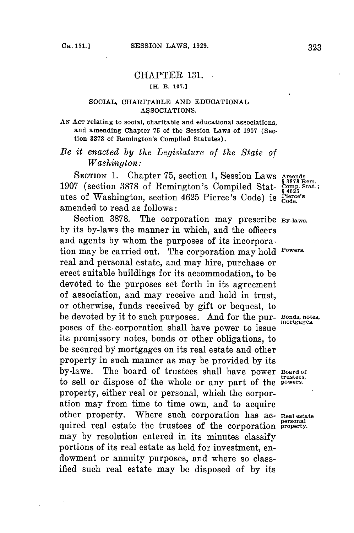## CHAPTER **131. [H. B. 107.]**

## **SOCIAL, CHARITABLE AND EDUCATIONAL ASSOCIATIONS.**

## **AN ACT relating to social, charitable and educational associations, and amending Chapter 75 of the Session Laws of 1907 (Section 3878 of Remington's Compiled Statutes).**

## *Be it enacted by the Legislature of the State of Washington:*

**SECTION 1.** Chapter **75,** section **1,** Session Laws **Amends § 3878 Rem. <sup>1907</sup>**(section **3878** of Remington's Compiled Stat- **Comp. stat.; § 4625** utes of Washington, section 4625 Pierce's Code) is **Pierce's Code.** amended to read as follows:

Section **3878.** The corporation may prescribe **By-laws. by** its by-laws the manner in which, and the officers and agents **by** whom the purposes of its incorporation may be carried out. The corporation may hold **Powers.** real and personal estate, and may hire, purchase or erect suitable buildings for its accommodation, to be devoted to the purposes set forth in its agreement of association, and may receive and hold in trust, or otherwise, funds received **by** gift or bequest, to be devoted **by** it to such purposes. And for the pur- **Bonds, notes,** poses of the- corporation shall have power to issue **gg** its promissory notes, bonds or other obligations, to be secured **by** mortgages on its real estate and other property in such manner as may be provided **by** its by-laws. The board of trustees shall have power **Board of** to sell or dispose of the whole or any part of the **powers.** property, either real or personal, which the corporation may from time to time own, and to acquire other property. Where such corporation has ac- **Real estate personal** quired real estate the trustees of the corporation **property.** may **by** resolution entered in its minutes classify portions of its real estate as held for investment, endowment or annuity purposes, and where so classified such real estate may be disposed of **by** its

**trustees,**